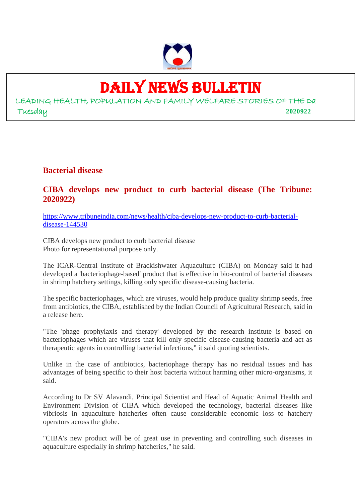

# DAILY NEWS BULLETIN

LEADING HEALTH, POPULATION AND FAMILY WELFARE STORIES OF THE Da Tuesday **2020922**

**Bacterial disease**

#### **CIBA develops new product to curb bacterial disease (The Tribune: 2020922)**

https://www.tribuneindia.com/news/health/ciba-develops-new-product-to-curb-bacterialdisease-144530

CIBA develops new product to curb bacterial disease Photo for representational purpose only.

The ICAR-Central Institute of Brackishwater Aquaculture (CIBA) on Monday said it had developed a 'bacteriophage-based' product that is effective in bio-control of bacterial diseases in shrimp hatchery settings, killing only specific disease-causing bacteria.

The specific bacteriophages, which are viruses, would help produce quality shrimp seeds, free from antibiotics, the CIBA, established by the Indian Council of Agricultural Research, said in a release here.

"The 'phage prophylaxis and therapy' developed by the research institute is based on bacteriophages which are viruses that kill only specific disease-causing bacteria and act as therapeutic agents in controlling bacterial infections," it said quoting scientists.

Unlike in the case of antibiotics, bacteriophage therapy has no residual issues and has advantages of being specific to their host bacteria without harming other micro-organisms, it said.

According to Dr SV Alavandi, Principal Scientist and Head of Aquatic Animal Health and Environment Division of CIBA which developed the technology, bacterial diseases like vibriosis in aquaculture hatcheries often cause considerable economic loss to hatchery operators across the globe.

"CIBA's new product will be of great use in preventing and controlling such diseases in aquaculture especially in shrimp hatcheries," he said.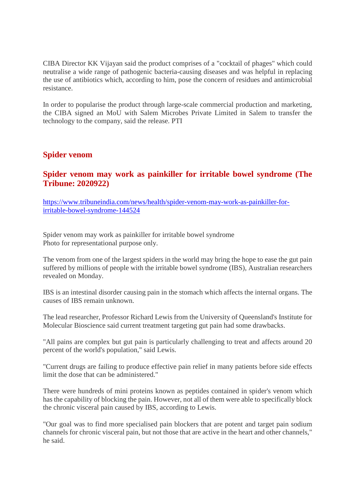CIBA Director KK Vijayan said the product comprises of a "cocktail of phages" which could neutralise a wide range of pathogenic bacteria-causing diseases and was helpful in replacing the use of antibiotics which, according to him, pose the concern of residues and antimicrobial resistance.

In order to popularise the product through large-scale commercial production and marketing, the CIBA signed an MoU with Salem Microbes Private Limited in Salem to transfer the technology to the company, said the release. PTI

#### **Spider venom**

#### **Spider venom may work as painkiller for irritable bowel syndrome (The Tribune: 2020922)**

https://www.tribuneindia.com/news/health/spider-venom-may-work-as-painkiller-forirritable-bowel-syndrome-144524

Spider venom may work as painkiller for irritable bowel syndrome Photo for representational purpose only.

The venom from one of the largest spiders in the world may bring the hope to ease the gut pain suffered by millions of people with the irritable bowel syndrome (IBS), Australian researchers revealed on Monday.

IBS is an intestinal disorder causing pain in the stomach which affects the internal organs. The causes of IBS remain unknown.

The lead researcher, Professor Richard Lewis from the University of Queensland's Institute for Molecular Bioscience said current treatment targeting gut pain had some drawbacks.

"All pains are complex but gut pain is particularly challenging to treat and affects around 20 percent of the world's population," said Lewis.

"Current drugs are failing to produce effective pain relief in many patients before side effects limit the dose that can be administered."

There were hundreds of mini proteins known as peptides contained in spider's venom which has the capability of blocking the pain. However, not all of them were able to specifically block the chronic visceral pain caused by IBS, according to Lewis.

"Our goal was to find more specialised pain blockers that are potent and target pain sodium channels for chronic visceral pain, but not those that are active in the heart and other channels," he said.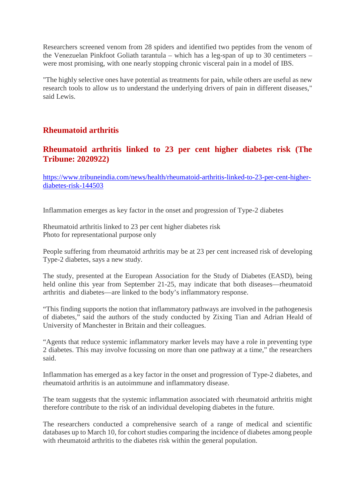Researchers screened venom from 28 spiders and identified two peptides from the venom of the Venezuelan Pinkfoot Goliath tarantula – which has a leg-span of up to 30 centimeters – were most promising, with one nearly stopping chronic visceral pain in a model of IBS.

"The highly selective ones have potential as treatments for pain, while others are useful as new research tools to allow us to understand the underlying drivers of pain in different diseases," said Lewis.

## **Rheumatoid arthritis**

#### **Rheumatoid arthritis linked to 23 per cent higher diabetes risk (The Tribune: 2020922)**

https://www.tribuneindia.com/news/health/rheumatoid-arthritis-linked-to-23-per-cent-higherdiabetes-risk-144503

Inflammation emerges as key factor in the onset and progression of Type-2 diabetes

Rheumatoid arthritis linked to 23 per cent higher diabetes risk Photo for representational purpose only

People suffering from rheumatoid arthritis may be at 23 per cent increased risk of developing Type-2 diabetes, says a new study.

The study, presented at the European Association for the Study of Diabetes (EASD), being held online this year from September 21-25, may indicate that both diseases—rheumatoid arthritis and diabetes—are linked to the body's inflammatory response.

"This finding supports the notion that inflammatory pathways are involved in the pathogenesis of diabetes," said the authors of the study conducted by Zixing Tian and Adrian Heald of University of Manchester in Britain and their colleagues.

"Agents that reduce systemic inflammatory marker levels may have a role in preventing type 2 diabetes. This may involve focussing on more than one pathway at a time," the researchers said.

Inflammation has emerged as a key factor in the onset and progression of Type-2 diabetes, and rheumatoid arthritis is an autoimmune and inflammatory disease.

The team suggests that the systemic inflammation associated with rheumatoid arthritis might therefore contribute to the risk of an individual developing diabetes in the future.

The researchers conducted a comprehensive search of a range of medical and scientific databases up to March 10, for cohort studies comparing the incidence of diabetes among people with rheumatoid arthritis to the diabetes risk within the general population.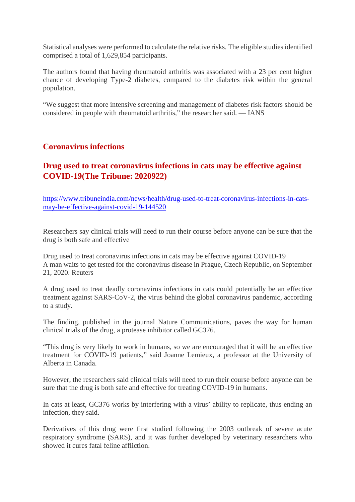Statistical analyses were performed to calculate the relative risks. The eligible studies identified comprised a total of 1,629,854 participants.

The authors found that having rheumatoid arthritis was associated with a 23 per cent higher chance of developing Type-2 diabetes, compared to the diabetes risk within the general population.

"We suggest that more intensive screening and management of diabetes risk factors should be considered in people with rheumatoid arthritis," the researcher said. — IANS

#### **Coronavirus infections**

## **Drug used to treat coronavirus infections in cats may be effective against COVID-19(The Tribune: 2020922)**

https://www.tribuneindia.com/news/health/drug-used-to-treat-coronavirus-infections-in-catsmay-be-effective-against-covid-19-144520

Researchers say clinical trials will need to run their course before anyone can be sure that the drug is both safe and effective

Drug used to treat coronavirus infections in cats may be effective against COVID-19 A man waits to get tested for the coronavirus disease in Prague, Czech Republic, on September 21, 2020. Reuters

A drug used to treat deadly coronavirus infections in cats could potentially be an effective treatment against SARS-CoV-2, the virus behind the global coronavirus pandemic, according to a study.

The finding, published in the journal Nature Communications, paves the way for human clinical trials of the drug, a protease inhibitor called GC376.

"This drug is very likely to work in humans, so we are encouraged that it will be an effective treatment for COVID-19 patients," said Joanne Lemieux, a professor at the University of Alberta in Canada.

However, the researchers said clinical trials will need to run their course before anyone can be sure that the drug is both safe and effective for treating COVID-19 in humans.

In cats at least, GC376 works by interfering with a virus' ability to replicate, thus ending an infection, they said.

Derivatives of this drug were first studied following the 2003 outbreak of severe acute respiratory syndrome (SARS), and it was further developed by veterinary researchers who showed it cures fatal feline affliction.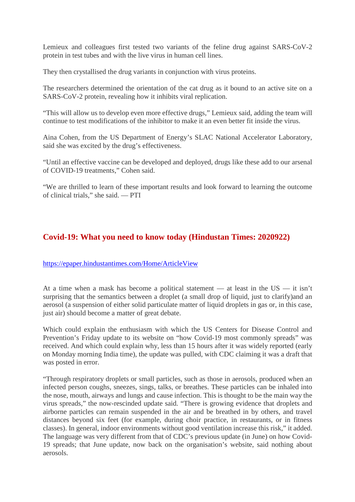Lemieux and colleagues first tested two variants of the feline drug against SARS-CoV-2 protein in test tubes and with the live virus in human cell lines.

They then crystallised the drug variants in conjunction with virus proteins.

The researchers determined the orientation of the cat drug as it bound to an active site on a SARS-CoV-2 protein, revealing how it inhibits viral replication.

"This will allow us to develop even more effective drugs," Lemieux said, adding the team will continue to test modifications of the inhibitor to make it an even better fit inside the virus.

Aina Cohen, from the US Department of Energy's SLAC National Accelerator Laboratory, said she was excited by the drug's effectiveness.

"Until an effective vaccine can be developed and deployed, drugs like these add to our arsenal of COVID-19 treatments," Cohen said.

"We are thrilled to learn of these important results and look forward to learning the outcome of clinical trials," she said. — PTI

## **Covid-19: What you need to know today (Hindustan Times: 2020922)**

https://epaper.hindustantimes.com/Home/ArticleView

At a time when a mask has become a political statement — at least in the US — it isn't surprising that the semantics between a droplet (a small drop of liquid, just to clarify) and an aerosol (a suspension of either solid particulate matter of liquid droplets in gas or, in this case, just air) should become a matter of great debate.

Which could explain the enthusiasm with which the US Centers for Disease Control and Prevention's Friday update to its website on "how Covid-19 most commonly spreads" was received. And which could explain why, less than 15 hours after it was widely reported (early on Monday morning India time), the update was pulled, with CDC claiming it was a draft that was posted in error.

"Through respiratory droplets or small particles, such as those in aerosols, produced when an infected person coughs, sneezes, sings, talks, or breathes. These particles can be inhaled into the nose, mouth, airways and lungs and cause infection. This is thought to be the main way the virus spreads," the now-rescinded update said. "There is growing evidence that droplets and airborne particles can remain suspended in the air and be breathed in by others, and travel distances beyond six feet (for example, during choir practice, in restaurants, or in fitness classes). In general, indoor environments without good ventilation increase this risk," it added. The language was very different from that of CDC's previous update (in June) on how Covid-19 spreads; that June update, now back on the organisation's website, said nothing about aerosols.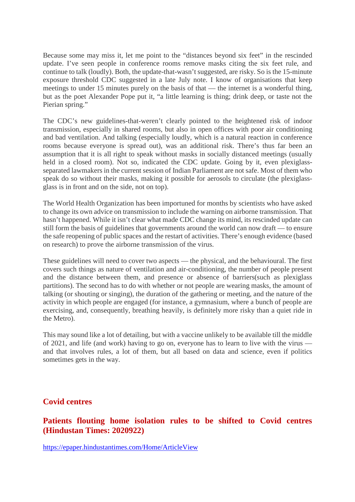Because some may miss it, let me point to the "distances beyond six feet" in the rescinded update. I've seen people in conference rooms remove masks citing the six feet rule, and continue to talk (loudly). Both, the update-that-wasn't suggested, are risky. So is the 15-minute exposure threshold CDC suggested in a late July note. I know of organisations that keep meetings to under 15 minutes purely on the basis of that — the internet is a wonderful thing, but as the poet Alexander Pope put it, "a little learning is thing; drink deep, or taste not the Pierian spring."

The CDC's new guidelines-that-weren't clearly pointed to the heightened risk of indoor transmission, especially in shared rooms, but also in open offices with poor air conditioning and bad ventilation. And talking (especially loudly, which is a natural reaction in conference rooms because everyone is spread out), was an additional risk. There's thus far been an assumption that it is all right to speak without masks in socially distanced meetings (usually held in a closed room). Not so, indicated the CDC update. Going by it, even plexiglassseparated lawmakers in the current session of Indian Parliament are not safe. Most of them who speak do so without their masks, making it possible for aerosols to circulate (the plexiglassglass is in front and on the side, not on top).

The World Health Organization has been importuned for months by scientists who have asked to change its own advice on transmission to include the warning on airborne transmission. That hasn't happened. While it isn't clear what made CDC change its mind, its rescinded update can still form the basis of guidelines that governments around the world can now draft — to ensure the safe reopening of public spaces and the restart of activities. There's enough evidence (based on research) to prove the airborne transmission of the virus.

These guidelines will need to cover two aspects — the physical, and the behavioural. The first covers such things as nature of ventilation and air-conditioning, the number of people present and the distance between them, and presence or absence of barriers(such as plexiglass partitions). The second has to do with whether or not people are wearing masks, the amount of talking (or shouting or singing), the duration of the gathering or meeting, and the nature of the activity in which people are engaged (for instance, a gymnasium, where a bunch of people are exercising, and, consequently, breathing heavily, is definitely more risky than a quiet ride in the Metro).

This may sound like a lot of detailing, but with a vaccine unlikely to be available till the middle of 2021, and life (and work) having to go on, everyone has to learn to live with the virus and that involves rules, a lot of them, but all based on data and science, even if politics sometimes gets in the way.

#### **Covid centres**

**Patients flouting home isolation rules to be shifted to Covid centres (Hindustan Times: 2020922)**

https://epaper.hindustantimes.com/Home/ArticleView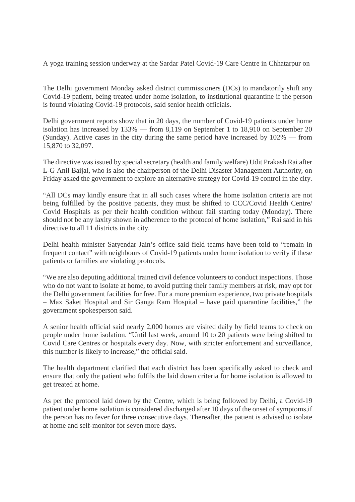A yoga training session underway at the Sardar Patel Covid-19 Care Centre in Chhatarpur on

The Delhi government Monday asked district commissioners (DCs) to mandatorily shift any Covid-19 patient, being treated under home isolation, to institutional quarantine if the person is found violating Covid-19 protocols, said senior health officials.

Delhi government reports show that in 20 days, the number of Covid-19 patients under home isolation has increased by 133% — from 8,119 on September 1 to 18,910 on September 20 (Sunday). Active cases in the city during the same period have increased by 102% — from 15,870 to 32,097.

The directive was issued by special secretary (health and family welfare) Udit Prakash Rai after L-G Anil Baijal, who is also the chairperson of the Delhi Disaster Management Authority, on Friday asked the government to explore an alternative strategy for Covid-19 control in the city.

"All DCs may kindly ensure that in all such cases where the home isolation criteria are not being fulfilled by the positive patients, they must be shifted to CCC/Covid Health Centre/ Covid Hospitals as per their health condition without fail starting today (Monday). There should not be any laxity shown in adherence to the protocol of home isolation," Rai said in his directive to all 11 districts in the city.

Delhi health minister Satyendar Jain's office said field teams have been told to "remain in frequent contact" with neighbours of Covid-19 patients under home isolation to verify if these patients or families are violating protocols.

"We are also deputing additional trained civil defence volunteers to conduct inspections. Those who do not want to isolate at home, to avoid putting their family members at risk, may opt for the Delhi government facilities for free. For a more premium experience, two private hospitals – Max Saket Hospital and Sir Ganga Ram Hospital – have paid quarantine facilities," the government spokesperson said.

A senior health official said nearly 2,000 homes are visited daily by field teams to check on people under home isolation. "Until last week, around 10 to 20 patients were being shifted to Covid Care Centres or hospitals every day. Now, with stricter enforcement and surveillance, this number is likely to increase," the official said.

The health department clarified that each district has been specifically asked to check and ensure that only the patient who fulfils the laid down criteria for home isolation is allowed to get treated at home.

As per the protocol laid down by the Centre, which is being followed by Delhi, a Covid-19 patient under home isolation is considered discharged after 10 days of the onset of symptoms,if the person has no fever for three consecutive days. Thereafter, the patient is advised to isolate at home and self-monitor for seven more days.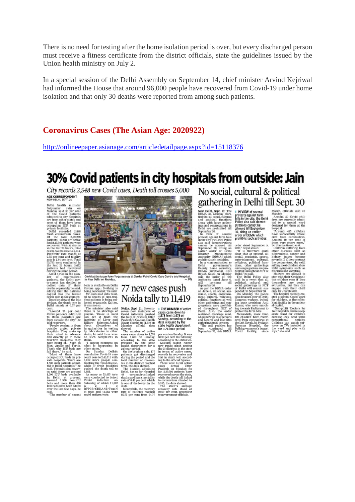There is no need for testing after the home isolation period is over, but every discharged person must receive a fitness certificate from the district officials, state the guidelines issued by the Union health ministry on July 2.

In a special session of the Delhi Assembly on September 14, chief minister Arvind Kejriwal had informed the House that around 96,000 people have recovered from Covid-19 under home isolation and that only 30 deaths were reported from among such patients.

#### **Coronavirus Cases (The Asian Age: 2020922)**

http://onlineepaper.asianage.com/articledetailpage.aspx?id=15118376

# 30% Covid patients in city hospitals from outside: Jain

City records 2.548 new Covid cases, Death toll crosses 5,000

#### AGE CORRESPONDENT

Delhi health minister<br>Satyendar Jain on<br>Monday said 30 per cent<br>of the Govid patients<br>admitted to city hospitals<br>are from other states and<br>most of them have been<br>occupying ICU beds at<br>occupying ICU beds at

most of them have been the conduct of the accompany and private fact<br>ities at posterior pole in the spectrum of the spectrum of the total<br> $2.54$  from the spectrum of the total  $2.48,250$ <br>and  $2.13,304$  patients were recov

7.55 per cent and fatality<br> $\mathbb{R}$ .76 per cent and fatality<br>and rate is 2.01 per cent. Total 24:<br>24: tests conducted in the laxt 24 hours. 3.672<br>during the same period. And a resist in the laxt 24 hours. 3.672<br>during the

no bay and a mate and a 2017 per contract and a 2017 per contract and a 2017 per control control control control control control control control of the model in the model of the model of the model of the model of the model

1,000 ICU beds available As many as 52,400 tests 49 coronavirus-linked recovered across the state in Delhi at present. were conducted to detect deaths and narrality while the death toll linked beds and more than 500 on-IC



# 77 new cases push Noida tally to 11,419

Nolda, Sept. 21: Seventy-**FRE NUMBER** of active<br>seven new instances of cases came down to<br>Covid infection pushed 3.528 came down to

Nolda, Sept. 21: Seventy-<br>
seventy-<br>
seventy-<br>
seventy-<br>
covid infection pushed<br>
the tally of cases in Utrar<br>
the angle of the production pushed<br>
Pradesh's Gautara Buddh<br>
Monday. official data<br>
shown the mome of active<br>
m by advanced the wear-<br>states, he said there were<br>no such complaints in<br>Delhi.<br>"T cannot comment on the behat<br>ther states."<br>On Sunday, Delhi's<br>count rose to Sunday. Delhi's<br>count rose to 2-46,711 with<br>tracting the viral di

**THE NUMBER** of active<br>cases came down to<br>1,578 from 1,678 on<br>Sunday, according to the<br>data released by the<br>state health department<br>for a 24-hour period

for a 24-hour period<br>gas trees contour period and Solid and Solid and Solid Gas Gooding to the static<br>income ranks nink and Solid Bandaries<br>incorrection of the static state and the state state and the state<br>gas state in th

# No social, cultural & political gathering in Delhi till Sept. 30

**Example 11:** The state of the state is a state that the state and the state and the state and the state and the state and the state and to the state of the state of the state of the state of the state of the state of the

March, officials said on March, officials said on<br>Monday Govid chil-<br>dren are currently admit-<br>dren are currently admit-<br>ded to a special ward<br>designed for them at the<br>nospital Through Strough Strough Strought Through Strought Proposition<br>areal fr

have successfully recov-<br>ered from coronavirus.<br>Around 10 per cent of

ered from coronarius<br>condition and the exact condition of the change area of the Urumin Jammin said. Children suffers from the<br>difference of the Urumin Jammin said, where discusses ranche as<br>forecasts and the discusses ran

because they need some<br>recreational activity.<br>Children can watch car-<br>toons on TVs installed in<br>the ward and play with<br>toys," she said.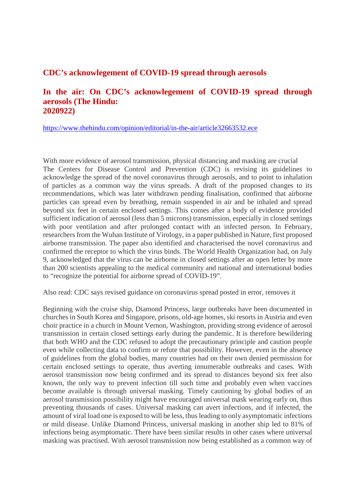#### **CDC's acknowlegement of COVID-19 spread through aerosols**

#### **In the air: On CDC's acknowlegement of COVID-19 spread through aerosols (The Hindu: 2020922)**

https://www.thehindu.com/opinion/editorial/in-the-air/article32663532.ece

With more evidence of aerosol transmission, physical distancing and masking are crucial The Centers for Disease Control and Prevention (CDC) is revising its guidelines to acknowledge the spread of the novel coronavirus through aerosols, and to point to inhalation of particles as a common way the virus spreads. A draft of the proposed changes to its recommendations, which was later withdrawn pending finalisation, confirmed that airborne particles can spread even by breathing, remain suspended in air and be inhaled and spread beyond six feet in certain enclosed settings. This comes after a body of evidence provided sufficient indication of aerosol (less than 5 microns) transmission, especially in closed settings with poor ventilation and after prolonged contact with an infected person. In February, researchers from the Wuhan Institute of Virology, in a paper published in Nature, first proposed airborne transmission. The paper also identified and characterised the novel coronavirus and confirmed the receptor to which the virus binds. The World Health Organization had, on July 9, acknowledged that the virus can be airborne in closed settings after an open letter by more than 200 scientists appealing to the medical community and national and international bodies to "recognize the potential for airborne spread of COVID-19".

Also read: CDC says revised guidance on coronavirus spread posted in error, removes it

Beginning with the cruise ship, Diamond Princess, large outbreaks have been documented in churches in South Korea and Singapore, prisons, old-age homes, ski resorts in Austria and even choir practice in a church in Mount Vernon, Washington, providing strong evidence of aerosol transmission in certain closed settings early during the pandemic. It is therefore bewildering that both WHO and the CDC refused to adopt the precautionary principle and caution people even while collecting data to confirm or refute that possibility. However, even in the absence of guidelines from the global bodies, many countries had on their own denied permission for certain enclosed settings to operate, thus averting innumerable outbreaks and cases. With aerosol transmission now being confirmed and its spread to distances beyond six feet also known, the only way to prevent infection till such time and probably even when vaccines become available is through universal masking. Timely cautioning by global bodies of an aerosol transmission possibility might have encouraged universal mask wearing early on, thus preventing thousands of cases. Universal masking can avert infections, and if infected, the amount of viral load one is exposed to will be less, thus leading to only asymptomatic infections or mild disease. Unlike Diamond Princess, universal masking in another ship led to 81% of infections being asymptomatic. There have been similar results in other cases where universal masking was practised. With aerosol transmission now being established as a common way of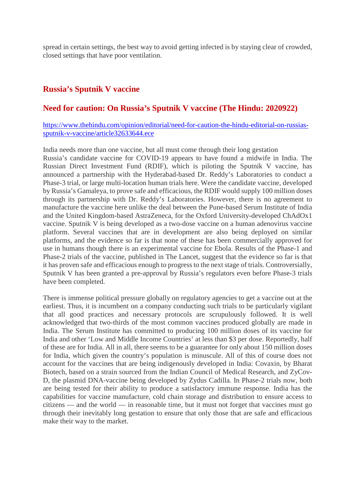spread in certain settings, the best way to avoid getting infected is by staying clear of crowded, closed settings that have poor ventilation.

#### **Russia's Sputnik V vaccine**

#### **Need for caution: On Russia's Sputnik V vaccine (The Hindu: 2020922)**

#### https://www.thehindu.com/opinion/editorial/need-for-caution-the-hindu-editorial-on-russiassputnik-v-vaccine/article32633644.ece

India needs more than one vaccine, but all must come through their long gestation Russia's candidate vaccine for COVID-19 appears to have found a midwife in India. The Russian Direct Investment Fund (RDIF), which is piloting the Sputnik V vaccine, has announced a partnership with the Hyderabad-based Dr. Reddy's Laboratories to conduct a Phase-3 trial, or large multi-location human trials here. Were the candidate vaccine, developed by Russia's Gamaleya, to prove safe and efficacious, the RDIF would supply 100 million doses through its partnership with Dr. Reddy's Laboratories. However, there is no agreement to manufacture the vaccine here unlike the deal between the Pune-based Serum Institute of India and the United Kingdom-based AstraZeneca, for the Oxford University-developed ChAdOx1 vaccine. Sputnik V is being developed as a two-dose vaccine on a human adenovirus vaccine platform. Several vaccines that are in development are also being deployed on similar platforms, and the evidence so far is that none of these has been commercially approved for use in humans though there is an experimental vaccine for Ebola. Results of the Phase-1 and Phase-2 trials of the vaccine, published in The Lancet, suggest that the evidence so far is that it has proven safe and efficacious enough to progress to the next stage of trials. Controversially, Sputnik V has been granted a pre-approval by Russia's regulators even before Phase-3 trials have been completed.

There is immense political pressure globally on regulatory agencies to get a vaccine out at the earliest. Thus, it is incumbent on a company conducting such trials to be particularly vigilant that all good practices and necessary protocols are scrupulously followed. It is well acknowledged that two-thirds of the most common vaccines produced globally are made in India. The Serum Institute has committed to producing 100 million doses of its vaccine for India and other 'Low and Middle Income Countries' at less than \$3 per dose. Reportedly, half of these are for India. All in all, there seems to be a guarantee for only about 150 million doses for India, which given the country's population is minuscule. All of this of course does not account for the vaccines that are being indigenously developed in India: Covaxin, by Bharat Biotech, based on a strain sourced from the Indian Council of Medical Research, and ZyCov-D, the plasmid DNA-vaccine being developed by Zydus Cadilla. In Phase-2 trials now, both are being tested for their ability to produce a satisfactory immune response. India has the capabilities for vaccine manufacture, cold chain storage and distribution to ensure access to citizens — and the world — in reasonable time, but it must not forget that vaccines must go through their inevitably long gestation to ensure that only those that are safe and efficacious make their way to the market.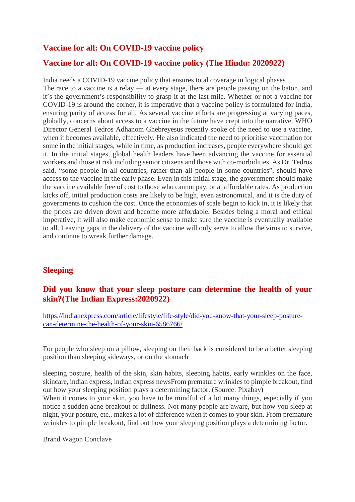#### **Vaccine for all: On COVID-19 vaccine policy**

#### **Vaccine for all: On COVID-19 vaccine policy (The Hindu: 2020922)**

India needs a COVID-19 vaccine policy that ensures total coverage in logical phases The race to a vaccine is a relay — at every stage, there are people passing on the baton, and it's the government's responsibility to grasp it at the last mile. Whether or not a vaccine for COVID-19 is around the corner, it is imperative that a vaccine policy is formulated for India, ensuring parity of access for all. As several vaccine efforts are progressing at varying paces, globally, concerns about access to a vaccine in the future have crept into the narrative. WHO Director General Tedros Adhanom Ghebreyesus recently spoke of the need to use a vaccine, when it becomes available, effectively. He also indicated the need to prioritise vaccination for some in the initial stages, while in time, as production increases, people everywhere should get it. In the initial stages, global health leaders have been advancing the vaccine for essential workers and those at risk including senior citizens and those with co-morbidities. As Dr. Tedros said, "some people in all countries, rather than all people in some countries", should have access to the vaccine in the early phase. Even in this initial stage, the government should make the vaccine available free of cost to those who cannot pay, or at affordable rates. As production kicks off, initial production costs are likely to be high, even astronomical, and it is the duty of governments to cushion the cost. Once the economies of scale begin to kick in, it is likely that the prices are driven down and become more affordable. Besides being a moral and ethical imperative, it will also make economic sense to make sure the vaccine is eventually available to all. Leaving gaps in the delivery of the vaccine will only serve to allow the virus to survive, and continue to wreak further damage.

#### **Sleeping**

#### **Did you know that your sleep posture can determine the health of your skin?(The Indian Express:2020922)**

https://indianexpress.com/article/lifestyle/life-style/did-you-know-that-your-sleep-posturecan-determine-the-health-of-your-skin-6586766/

For people who sleep on a pillow, sleeping on their back is considered to be a better sleeping position than sleeping sideways, or on the stomach

sleeping posture, health of the skin, skin habits, sleeping habits, early wrinkles on the face, skincare, indian express, indian express newsFrom premature wrinkles to pimple breakout, find out how your sleeping position plays a determining factor. (Source: Pixabay)

When it comes to your skin, you have to be mindful of a lot many things, especially if you notice a sudden acne breakout or dullness. Not many people are aware, but how you sleep at night, your posture, etc., makes a lot of difference when it comes to your skin. From premature wrinkles to pimple breakout, find out how your sleeping position plays a determining factor.

Brand Wagon Conclave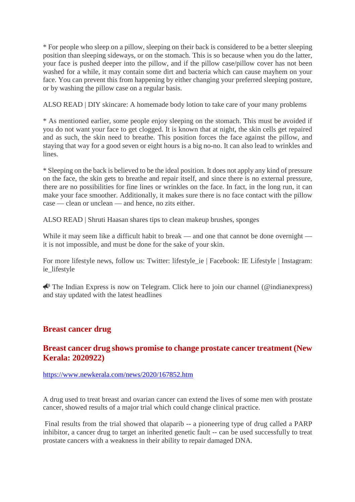\* For people who sleep on a pillow, sleeping on their back is considered to be a better sleeping position than sleeping sideways, or on the stomach. This is so because when you do the latter, your face is pushed deeper into the pillow, and if the pillow case/pillow cover has not been washed for a while, it may contain some dirt and bacteria which can cause mayhem on your face. You can prevent this from happening by either changing your preferred sleeping posture, or by washing the pillow case on a regular basis.

ALSO READ | DIY skincare: A homemade body lotion to take care of your many problems

\* As mentioned earlier, some people enjoy sleeping on the stomach. This must be avoided if you do not want your face to get clogged. It is known that at night, the skin cells get repaired and as such, the skin need to breathe. This position forces the face against the pillow, and staying that way for a good seven or eight hours is a big no-no. It can also lead to wrinkles and lines.

\* Sleeping on the back is believed to be the ideal position. It does not apply any kind of pressure on the face, the skin gets to breathe and repair itself, and since there is no external pressure, there are no possibilities for fine lines or wrinkles on the face. In fact, in the long run, it can make your face smoother. Additionally, it makes sure there is no face contact with the pillow case — clean or unclean — and hence, no zits either.

ALSO READ | Shruti Haasan shares tips to clean makeup brushes, sponges

While it may seem like a difficult habit to break — and one that cannot be done overnight it is not impossible, and must be done for the sake of your skin.

For more lifestyle news, follow us: Twitter: lifestyle\_ie | Facebook: IE Lifestyle | Instagram: ie lifestyle

 $\triangle$  The Indian Express is now on Telegram. Click here to join our channel (@indianexpress) and stay updated with the latest headlines

## **Breast cancer drug**

#### **Breast cancer drug shows promise to change prostate cancer treatment (New Kerala: 2020922)**

https://www.newkerala.com/news/2020/167852.htm

A drug used to treat breast and ovarian cancer can extend the lives of some men with prostate cancer, showed results of a major trial which could change clinical practice.

Final results from the trial showed that olaparib -- a pioneering type of drug called a PARP inhibitor, a cancer drug to target an inherited genetic fault -- can be used successfully to treat prostate cancers with a weakness in their ability to repair damaged DNA.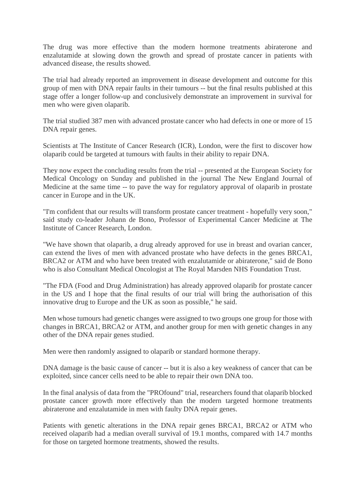The drug was more effective than the modern hormone treatments abiraterone and enzalutamide at slowing down the growth and spread of prostate cancer in patients with advanced disease, the results showed.

The trial had already reported an improvement in disease development and outcome for this group of men with DNA repair faults in their tumours -- but the final results published at this stage offer a longer follow-up and conclusively demonstrate an improvement in survival for men who were given olaparib.

The trial studied 387 men with advanced prostate cancer who had defects in one or more of 15 DNA repair genes.

Scientists at The Institute of Cancer Research (ICR), London, were the first to discover how olaparib could be targeted at tumours with faults in their ability to repair DNA.

They now expect the concluding results from the trial -- presented at the European Society for Medical Oncology on Sunday and published in the journal The New England Journal of Medicine at the same time -- to pave the way for regulatory approval of olaparib in prostate cancer in Europe and in the UK.

"I'm confident that our results will transform prostate cancer treatment - hopefully very soon," said study co-leader Johann de Bono, Professor of Experimental Cancer Medicine at The Institute of Cancer Research, London.

"We have shown that olaparib, a drug already approved for use in breast and ovarian cancer, can extend the lives of men with advanced prostate who have defects in the genes BRCA1, BRCA2 or ATM and who have been treated with enzalutamide or abiraterone," said de Bono who is also Consultant Medical Oncologist at The Royal Marsden NHS Foundation Trust.

"The FDA (Food and Drug Administration) has already approved olaparib for prostate cancer in the US and I hope that the final results of our trial will bring the authorisation of this innovative drug to Europe and the UK as soon as possible," he said.

Men whose tumours had genetic changes were assigned to two groups one group for those with changes in BRCA1, BRCA2 or ATM, and another group for men with genetic changes in any other of the DNA repair genes studied.

Men were then randomly assigned to olaparib or standard hormone therapy.

DNA damage is the basic cause of cancer -- but it is also a key weakness of cancer that can be exploited, since cancer cells need to be able to repair their own DNA too.

In the final analysis of data from the "PROfound" trial, researchers found that olaparib blocked prostate cancer growth more effectively than the modern targeted hormone treatments abiraterone and enzalutamide in men with faulty DNA repair genes.

Patients with genetic alterations in the DNA repair genes BRCA1, BRCA2 or ATM who received olaparib had a median overall survival of 19.1 months, compared with 14.7 months for those on targeted hormone treatments, showed the results.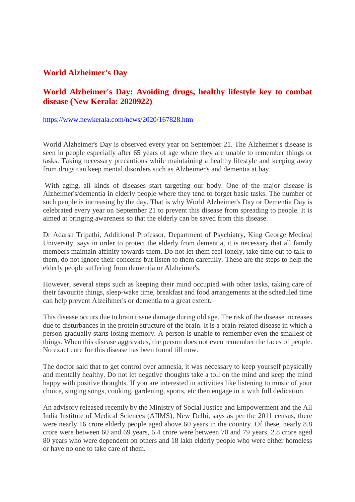#### **World Alzheimer's Day**

## **World Alzheimer's Day: Avoiding drugs, healthy lifestyle key to combat disease (New Kerala: 2020922)**

#### https://www.newkerala.com/news/2020/167828.htm

World Alzheimer's Day is observed every year on September 21. The Alzheimer's disease is seen in people especially after 65 years of age where they are unable to remember things or tasks. Taking necessary precautions while maintaining a healthy lifestyle and keeping away from drugs can keep mental disorders such as Alzheimer's and dementia at bay.

With aging, all kinds of diseases start targeting our body. One of the major disease is Alzheimer's/dementia in elderly people where they tend to forget basic tasks. The number of such people is increasing by the day. That is why World Alzheimer's Day or Dementia Day is celebrated every year on September 21 to prevent this disease from spreading to people. It is aimed at bringing awareness so that the elderly can be saved from this disease.

Dr Adarsh Tripathi, Additional Professor, Department of Psychiatry, King George Medical University, says in order to protect the elderly from dementia, it is necessary that all family members maintain affinity towards them. Do not let them feel lonely, take time out to talk to them, do not ignore their concerns but listen to them carefully. These are the steps to help the elderly people suffering from dementia or Alzheimer's.

However, several steps such as keeping their mind occupied with other tasks, taking care of their favourite things, sleep-wake time, breakfast and food arrangements at the scheduled time can help prevent Alzeihmer's or dementia to a great extent.

This disease occurs due to brain tissue damage during old age. The risk of the disease increases due to disturbances in the protein structure of the brain. It is a brain-related disease in which a person gradually starts losing memory. A person is unable to remember even the smallest of things. When this disease aggravates, the person does not even remember the faces of people. No exact cure for this disease has been found till now.

The doctor said that to get control over amnesia, it was necessary to keep yourself physically and mentally healthy. Do not let negative thoughts take a toll on the mind and keep the mind happy with positive thoughts. If you are interested in activities like listening to music of your choice, singing songs, cooking, gardening, sports, etc then engage in it with full dedication.

An advisory released recently by the Ministry of Social Justice and Empowerment and the All India Institute of Medical Sciences (AIIMS), New Delhi, says as per the 2011 census, there were nearly 16 crore elderly people aged above 60 years in the country. Of these, nearly 8.8 crore were between 60 and 69 years, 6.4 crore were between 70 and 79 years, 2.8 crore aged 80 years who were dependent on others and 18 lakh elderly people who were either homeless or have no one to take care of them.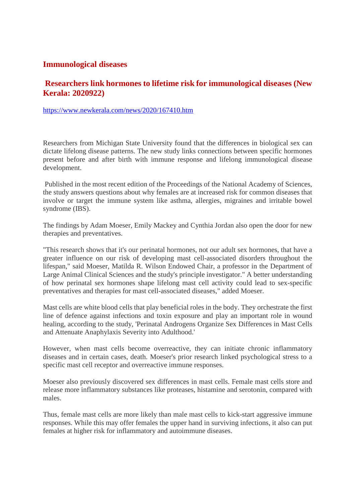#### **Immunological diseases**

## **Researchers link hormones to lifetime risk for immunological diseases (New Kerala: 2020922)**

https://www.newkerala.com/news/2020/167410.htm

Researchers from Michigan State University found that the differences in biological sex can dictate lifelong disease patterns. The new study links connections between specific hormones present before and after birth with immune response and lifelong immunological disease development.

Published in the most recent edition of the Proceedings of the National Academy of Sciences, the study answers questions about why females are at increased risk for common diseases that involve or target the immune system like asthma, allergies, migraines and irritable bowel syndrome (IBS).

The findings by Adam Moeser, Emily Mackey and Cynthia Jordan also open the door for new therapies and preventatives.

"This research shows that it's our perinatal hormones, not our adult sex hormones, that have a greater influence on our risk of developing mast cell-associated disorders throughout the lifespan," said Moeser, Matilda R. Wilson Endowed Chair, a professor in the Department of Large Animal Clinical Sciences and the study's principle investigator." A better understanding of how perinatal sex hormones shape lifelong mast cell activity could lead to sex-specific preventatives and therapies for mast cell-associated diseases," added Moeser.

Mast cells are white blood cells that play beneficial roles in the body. They orchestrate the first line of defence against infections and toxin exposure and play an important role in wound healing, according to the study, 'Perinatal Androgens Organize Sex Differences in Mast Cells and Attenuate Anaphylaxis Severity into Adulthood.'

However, when mast cells become overreactive, they can initiate chronic inflammatory diseases and in certain cases, death. Moeser's prior research linked psychological stress to a specific mast cell receptor and overreactive immune responses.

Moeser also previously discovered sex differences in mast cells. Female mast cells store and release more inflammatory substances like proteases, histamine and serotonin, compared with males.

Thus, female mast cells are more likely than male mast cells to kick-start aggressive immune responses. While this may offer females the upper hand in surviving infections, it also can put females at higher risk for inflammatory and autoimmune diseases.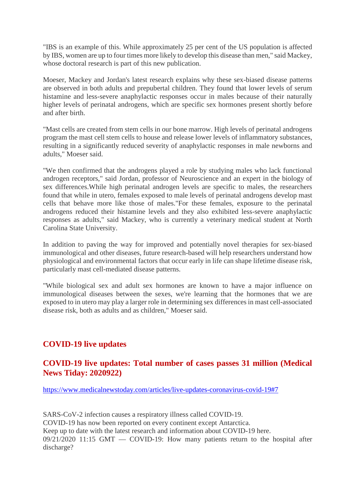"IBS is an example of this. While approximately 25 per cent of the US population is affected by IBS, women are up to four times more likely to develop this disease than men," said Mackey, whose doctoral research is part of this new publication.

Moeser, Mackey and Jordan's latest research explains why these sex-biased disease patterns are observed in both adults and prepubertal children. They found that lower levels of serum histamine and less-severe anaphylactic responses occur in males because of their naturally higher levels of perinatal androgens, which are specific sex hormones present shortly before and after birth.

"Mast cells are created from stem cells in our bone marrow. High levels of perinatal androgens program the mast cell stem cells to house and release lower levels of inflammatory substances, resulting in a significantly reduced severity of anaphylactic responses in male newborns and adults," Moeser said.

"We then confirmed that the androgens played a role by studying males who lack functional androgen receptors," said Jordan, professor of Neuroscience and an expert in the biology of sex differences.While high perinatal androgen levels are specific to males, the researchers found that while in utero, females exposed to male levels of perinatal androgens develop mast cells that behave more like those of males."For these females, exposure to the perinatal androgens reduced their histamine levels and they also exhibited less-severe anaphylactic responses as adults," said Mackey, who is currently a veterinary medical student at North Carolina State University.

In addition to paving the way for improved and potentially novel therapies for sex-biased immunological and other diseases, future research-based will help researchers understand how physiological and environmental factors that occur early in life can shape lifetime disease risk, particularly mast cell-mediated disease patterns.

"While biological sex and adult sex hormones are known to have a major influence on immunological diseases between the sexes, we're learning that the hormones that we are exposed to in utero may play a larger role in determining sex differences in mast cell-associated disease risk, both as adults and as children," Moeser said.

## **COVID-19 live updates**

#### **COVID-19 live updates: Total number of cases passes 31 million (Medical News Tiday: 2020922)**

https://www.medicalnewstoday.com/articles/live-updates-coronavirus-covid-19#7

SARS-CoV-2 infection causes a respiratory illness called COVID-19. COVID-19 has now been reported on every continent except Antarctica. Keep up to date with the latest research and information about COVID-19 here. 09/21/2020 11:15 GMT — COVID-19: How many patients return to the hospital after discharge?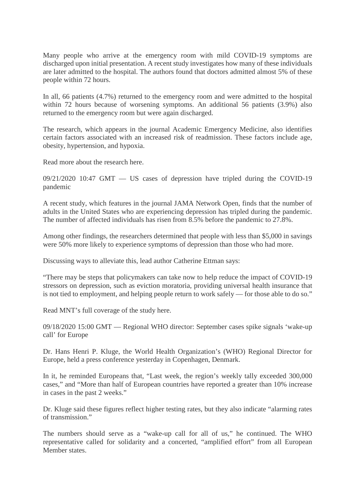Many people who arrive at the emergency room with mild COVID-19 symptoms are discharged upon initial presentation. A recent study investigates how many of these individuals are later admitted to the hospital. The authors found that doctors admitted almost 5% of these people within 72 hours.

In all, 66 patients (4.7%) returned to the emergency room and were admitted to the hospital within 72 hours because of worsening symptoms. An additional 56 patients (3.9%) also returned to the emergency room but were again discharged.

The research, which appears in the journal Academic Emergency Medicine, also identifies certain factors associated with an increased risk of readmission. These factors include age, obesity, hypertension, and hypoxia.

Read more about the research here.

09/21/2020 10:47 GMT — US cases of depression have tripled during the COVID-19 pandemic

A recent study, which features in the journal JAMA Network Open, finds that the number of adults in the United States who are experiencing depression has tripled during the pandemic. The number of affected individuals has risen from 8.5% before the pandemic to 27.8%.

Among other findings, the researchers determined that people with less than \$5,000 in savings were 50% more likely to experience symptoms of depression than those who had more.

Discussing ways to alleviate this, lead author Catherine Ettman says:

"There may be steps that policymakers can take now to help reduce the impact of COVID-19 stressors on depression, such as eviction moratoria, providing universal health insurance that is not tied to employment, and helping people return to work safely — for those able to do so."

Read MNT's full coverage of the study here.

09/18/2020 15:00 GMT — Regional WHO director: September cases spike signals 'wake-up call' for Europe

Dr. Hans Henri P. Kluge, the World Health Organization's (WHO) Regional Director for Europe, held a press conference yesterday in Copenhagen, Denmark.

In it, he reminded Europeans that, "Last week, the region's weekly tally exceeded 300,000 cases," and "More than half of European countries have reported a greater than 10% increase in cases in the past 2 weeks."

Dr. Kluge said these figures reflect higher testing rates, but they also indicate "alarming rates of transmission."

The numbers should serve as a "wake-up call for all of us," he continued. The WHO representative called for solidarity and a concerted, "amplified effort" from all European Member states.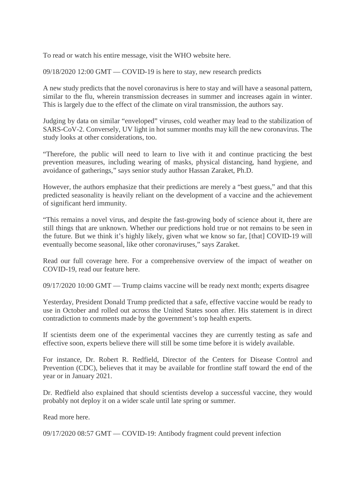To read or watch his entire message, visit the WHO website here.

09/18/2020 12:00 GMT — COVID-19 is here to stay, new research predicts

A new study predicts that the novel coronavirus is here to stay and will have a seasonal pattern, similar to the flu, wherein transmission decreases in summer and increases again in winter. This is largely due to the effect of the climate on viral transmission, the authors say.

Judging by data on similar "enveloped" viruses, cold weather may lead to the stabilization of SARS-CoV-2. Conversely, UV light in hot summer months may kill the new coronavirus. The study looks at other considerations, too.

"Therefore, the public will need to learn to live with it and continue practicing the best prevention measures, including wearing of masks, physical distancing, hand hygiene, and avoidance of gatherings," says senior study author Hassan Zaraket, Ph.D.

However, the authors emphasize that their predictions are merely a "best guess," and that this predicted seasonality is heavily reliant on the development of a vaccine and the achievement of significant herd immunity.

"This remains a novel virus, and despite the fast-growing body of science about it, there are still things that are unknown. Whether our predictions hold true or not remains to be seen in the future. But we think it's highly likely, given what we know so far, [that] COVID-19 will eventually become seasonal, like other coronaviruses," says Zaraket.

Read our full coverage here. For a comprehensive overview of the impact of weather on COVID-19, read our feature here.

09/17/2020 10:00 GMT — Trump claims vaccine will be ready next month; experts disagree

Yesterday, President Donald Trump predicted that a safe, effective vaccine would be ready to use in October and rolled out across the United States soon after. His statement is in direct contradiction to comments made by the government's top health experts.

If scientists deem one of the experimental vaccines they are currently testing as safe and effective soon, experts believe there will still be some time before it is widely available.

For instance, Dr. Robert R. Redfield, Director of the Centers for Disease Control and Prevention (CDC), believes that it may be available for frontline staff toward the end of the year or in January 2021.

Dr. Redfield also explained that should scientists develop a successful vaccine, they would probably not deploy it on a wider scale until late spring or summer.

Read more here.

09/17/2020 08:57 GMT — COVID-19: Antibody fragment could prevent infection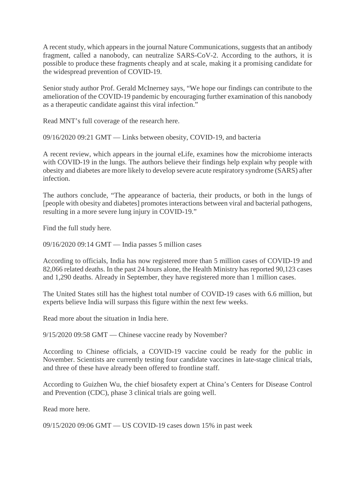A recent study, which appears in the journal Nature Communications, suggests that an antibody fragment, called a nanobody, can neutralize SARS-CoV-2. According to the authors, it is possible to produce these fragments cheaply and at scale, making it a promising candidate for the widespread prevention of COVID-19.

Senior study author Prof. Gerald McInerney says, "We hope our findings can contribute to the amelioration of the COVID-19 pandemic by encouraging further examination of this nanobody as a therapeutic candidate against this viral infection."

Read MNT's full coverage of the research here.

09/16/2020 09:21 GMT — Links between obesity, COVID-19, and bacteria

A recent review, which appears in the journal eLife, examines how the microbiome interacts with COVID-19 in the lungs. The authors believe their findings help explain why people with obesity and diabetes are more likely to develop severe acute respiratory syndrome (SARS) after infection.

The authors conclude, "The appearance of bacteria, their products, or both in the lungs of [people with obesity and diabetes] promotes interactions between viral and bacterial pathogens, resulting in a more severe lung injury in COVID-19."

Find the full study here.

09/16/2020 09:14 GMT — India passes 5 million cases

According to officials, India has now registered more than 5 million cases of COVID-19 and 82,066 related deaths. In the past 24 hours alone, the Health Ministry has reported 90,123 cases and 1,290 deaths. Already in September, they have registered more than 1 million cases.

The United States still has the highest total number of COVID-19 cases with 6.6 million, but experts believe India will surpass this figure within the next few weeks.

Read more about the situation in India here.

9/15/2020 09:58 GMT — Chinese vaccine ready by November?

According to Chinese officials, a COVID-19 vaccine could be ready for the public in November. Scientists are currently testing four candidate vaccines in late-stage clinical trials, and three of these have already been offered to frontline staff.

According to Guizhen Wu, the chief biosafety expert at China's Centers for Disease Control and Prevention (CDC), phase 3 clinical trials are going well.

Read more here.

09/15/2020 09:06 GMT — US COVID-19 cases down 15% in past week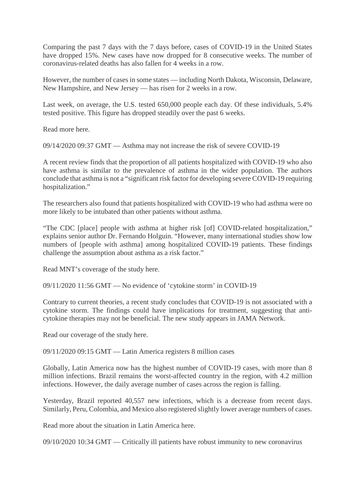Comparing the past 7 days with the 7 days before, cases of COVID-19 in the United States have dropped 15%. New cases have now dropped for 8 consecutive weeks. The number of coronavirus-related deaths has also fallen for 4 weeks in a row.

However, the number of cases in some states — including North Dakota, Wisconsin, Delaware, New Hampshire, and New Jersey — has risen for 2 weeks in a row.

Last week, on average, the U.S. tested 650,000 people each day. Of these individuals, 5.4% tested positive. This figure has dropped steadily over the past 6 weeks.

Read more here.

09/14/2020 09:37 GMT — Asthma may not increase the risk of severe COVID-19

A recent review finds that the proportion of all patients hospitalized with COVID-19 who also have asthma is similar to the prevalence of asthma in the wider population. The authors conclude that asthma is not a "significant risk factor for developing severe COVID-19 requiring hospitalization."

The researchers also found that patients hospitalized with COVID-19 who had asthma were no more likely to be intubated than other patients without asthma.

"The CDC [place] people with asthma at higher risk [of] COVID-related hospitalization," explains senior author Dr. Fernando Holguin. "However, many international studies show low numbers of [people with asthma] among hospitalized COVID-19 patients. These findings challenge the assumption about asthma as a risk factor."

Read MNT's coverage of the study here.

09/11/2020 11:56 GMT — No evidence of 'cytokine storm' in COVID-19

Contrary to current theories, a recent study concludes that COVID-19 is not associated with a cytokine storm. The findings could have implications for treatment, suggesting that anticytokine therapies may not be beneficial. The new study appears in JAMA Network.

Read our coverage of the study here.

09/11/2020 09:15 GMT — Latin America registers 8 million cases

Globally, Latin America now has the highest number of COVID-19 cases, with more than 8 million infections. Brazil remains the worst-affected country in the region, with 4.2 million infections. However, the daily average number of cases across the region is falling.

Yesterday, Brazil reported 40,557 new infections, which is a decrease from recent days. Similarly, Peru, Colombia, and Mexico also registered slightly lower average numbers of cases.

Read more about the situation in Latin America here.

09/10/2020 10:34 GMT — Critically ill patients have robust immunity to new coronavirus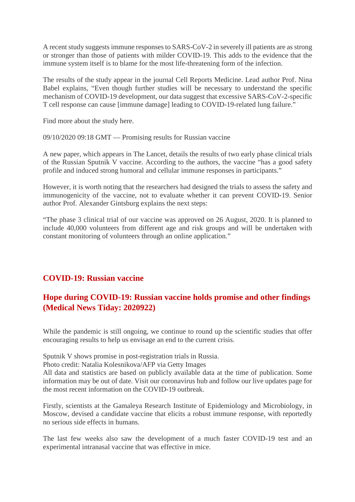A recent study suggests immune responses to SARS-CoV-2 in severely ill patients are as strong or stronger than those of patients with milder COVID-19. This adds to the evidence that the immune system itself is to blame for the most life-threatening form of the infection.

The results of the study appear in the journal Cell Reports Medicine. Lead author Prof. Nina Babel explains, "Even though further studies will be necessary to understand the specific mechanism of COVID-19 development, our data suggest that excessive SARS-CoV-2-specific T cell response can cause [immune damage] leading to COVID-19-related lung failure."

Find more about the study here.

09/10/2020 09:18 GMT — Promising results for Russian vaccine

A new paper, which appears in The Lancet, details the results of two early phase clinical trials of the Russian Sputnik V vaccine. According to the authors, the vaccine "has a good safety profile and induced strong humoral and cellular immune responses in participants."

However, it is worth noting that the researchers had designed the trials to assess the safety and immunogenicity of the vaccine, not to evaluate whether it can prevent COVID-19. Senior author Prof. Alexander Gintsburg explains the next steps:

"The phase 3 clinical trial of our vaccine was approved on 26 August, 2020. It is planned to include 40,000 volunteers from different age and risk groups and will be undertaken with constant monitoring of volunteers through an online application."

## **COVID-19: Russian vaccine**

# **Hope during COVID-19: Russian vaccine holds promise and other findings (Medical News Tiday: 2020922)**

While the pandemic is still ongoing, we continue to round up the scientific studies that offer encouraging results to help us envisage an end to the current crisis.

Sputnik V shows promise in post-registration trials in Russia.

Photo credit: Natalia Kolesnikova/AFP via Getty Images

All data and statistics are based on publicly available data at the time of publication. Some information may be out of date. Visit our coronavirus hub and follow our live updates page for the most recent information on the COVID-19 outbreak.

Firstly, scientists at the Gamaleya Research Institute of Epidemiology and Microbiology, in Moscow, devised a candidate vaccine that elicits a robust immune response, with reportedly no serious side effects in humans.

The last few weeks also saw the development of a much faster COVID-19 test and an experimental intranasal vaccine that was effective in mice.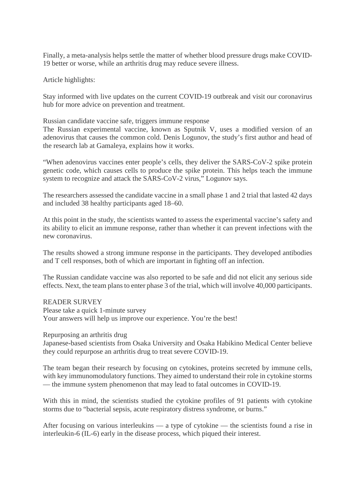Finally, a meta-analysis helps settle the matter of whether blood pressure drugs make COVID-19 better or worse, while an arthritis drug may reduce severe illness.

Article highlights:

Stay informed with live updates on the current COVID-19 outbreak and visit our coronavirus hub for more advice on prevention and treatment.

Russian candidate vaccine safe, triggers immune response

The Russian experimental vaccine, known as Sputnik V, uses a modified version of an adenovirus that causes the common cold. Denis Logunov, the study's first author and head of the research lab at Gamaleya, explains how it works.

"When adenovirus vaccines enter people's cells, they deliver the SARS-CoV-2 spike protein genetic code, which causes cells to produce the spike protein. This helps teach the immune system to recognize and attack the SARS-CoV-2 virus," Logunov says.

The researchers assessed the candidate vaccine in a small phase 1 and 2 trial that lasted 42 days and included 38 healthy participants aged 18–60.

At this point in the study, the scientists wanted to assess the experimental vaccine's safety and its ability to elicit an immune response, rather than whether it can prevent infections with the new coronavirus.

The results showed a strong immune response in the participants. They developed antibodies and T cell responses, both of which are important in fighting off an infection.

The Russian candidate vaccine was also reported to be safe and did not elicit any serious side effects. Next, the team plans to enter phase 3 of the trial, which will involve 40,000 participants.

READER SURVEY

Please take a quick 1-minute survey Your answers will help us improve our experience. You're the best!

Repurposing an arthritis drug

Japanese-based scientists from Osaka University and Osaka Habikino Medical Center believe they could repurpose an arthritis drug to treat severe COVID-19.

The team began their research by focusing on cytokines, proteins secreted by immune cells, with key immunomodulatory functions. They aimed to understand their role in cytokine storms — the immune system phenomenon that may lead to fatal outcomes in COVID-19.

With this in mind, the scientists studied the cytokine profiles of 91 patients with cytokine storms due to "bacterial sepsis, acute respiratory distress syndrome, or burns."

After focusing on various interleukins — a type of cytokine — the scientists found a rise in interleukin-6 (IL-6) early in the disease process, which piqued their interest.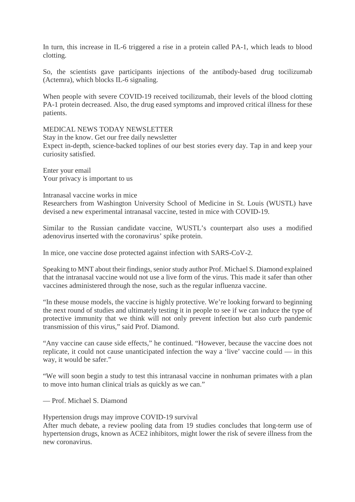In turn, this increase in IL-6 triggered a rise in a protein called PA-1, which leads to blood clotting.

So, the scientists gave participants injections of the antibody-based drug tocilizumab (Actemra), which blocks IL-6 signaling.

When people with severe COVID-19 received tocilizumab, their levels of the blood clotting PA-1 protein decreased. Also, the drug eased symptoms and improved critical illness for these patients.

#### MEDICAL NEWS TODAY NEWSLETTER

Stay in the know. Get our free daily newsletter Expect in-depth, science-backed toplines of our best stories every day. Tap in and keep your curiosity satisfied.

Enter your email Your privacy is important to us

#### Intranasal vaccine works in mice

Researchers from Washington University School of Medicine in St. Louis (WUSTL) have devised a new experimental intranasal vaccine, tested in mice with COVID-19.

Similar to the Russian candidate vaccine, WUSTL's counterpart also uses a modified adenovirus inserted with the coronavirus' spike protein.

In mice, one vaccine dose protected against infection with SARS-CoV-2.

Speaking to MNT about their findings, senior study author Prof. Michael S. Diamond explained that the intranasal vaccine would not use a live form of the virus. This made it safer than other vaccines administered through the nose, such as the regular influenza vaccine.

"In these mouse models, the vaccine is highly protective. We're looking forward to beginning the next round of studies and ultimately testing it in people to see if we can induce the type of protective immunity that we think will not only prevent infection but also curb pandemic transmission of this virus," said Prof. Diamond.

"Any vaccine can cause side effects," he continued. "However, because the vaccine does not replicate, it could not cause unanticipated infection the way a 'live' vaccine could — in this way, it would be safer."

"We will soon begin a study to test this intranasal vaccine in nonhuman primates with a plan to move into human clinical trials as quickly as we can."

— Prof. Michael S. Diamond

Hypertension drugs may improve COVID-19 survival

After much debate, a review pooling data from 19 studies concludes that long-term use of hypertension drugs, known as ACE2 inhibitors, might lower the risk of severe illness from the new coronavirus.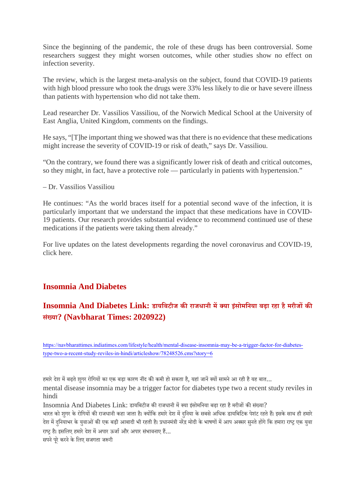Since the beginning of the pandemic, the role of these drugs has been controversial. Some researchers suggest they might worsen outcomes, while other studies show no effect on infection severity.

The review, which is the largest meta-analysis on the subject, found that COVID-19 patients with high blood pressure who took the drugs were 33% less likely to die or have severe illness than patients with hypertension who did not take them.

Lead researcher Dr. Vassilios Vassiliou, of the Norwich Medical School at the University of East Anglia, United Kingdom, comments on the findings.

He says, "[T]he important thing we showed was that there is no evidence that these medications might increase the severity of COVID-19 or risk of death," says Dr. Vassiliou.

"On the contrary, we found there was a significantly lower risk of death and critical outcomes, so they might, in fact, have a protective role — particularly in patients with hypertension."

– Dr. Vassilios Vassiliou

He continues: "As the world braces itself for a potential second wave of the infection, it is particularly important that we understand the impact that these medications have in COVID-19 patients. Our research provides substantial evidence to recommend continued use of these medications if the patients were taking them already."

For live updates on the latest developments regarding the novel coronavirus and COVID-19, click here.

#### **Insomnia And Diabetes**

# **Insomnia And Diabetes Link: डायिबटीज कराजधानी मया इसं ोमिनया बढ़ा रहा हैमरीजक सं या? (Navbharat Times: 2020922)**

https://navbharattimes.indiatimes.com/lifestyle/health/mental-disease-insomnia-may-be-a-trigger-factor-for-diabetestype-two-a-recent-study-reviles-in-hindi/articleshow/78248526.cms?story=6

हमारे देश में बढ़ते शुगर रोगियों का एक बड़ा कारण नींद की कमी हो सकता है, यहां जानें क्यों सामने आ रही है यह बात...

mental disease insomnia may be a trigger factor for diabetes type two a recent study reviles in hindi

Insomnia And Diabetes Link: डायबिटीज की राजधानी में क्या इंसोमनिया बढ़ा रहा है मरीजों की संख्या?

भारत को शुगर के रोगियों की राजधानी कहा जाता है। क्योंकि हमारे देश में दनिया के सबसे अधिक डायबिटिक पेशंट रहते हैं। इसके साथ ही हमारे देश में दुनियाभर के युवाओं की एक बड़ी आबादी भी रहती है। प्रधानमंत्री नरेंद्र मोदी के भाषणों में आप अक्सर सुनते होंगे कि हमारा राष्ट्र एक युवा राष्ट्र है। इसलिए हमारे देश में अपार ऊर्जा और अपार संभावनाए हैं...

सपने पूरे करने के लिए सजगता जरूरी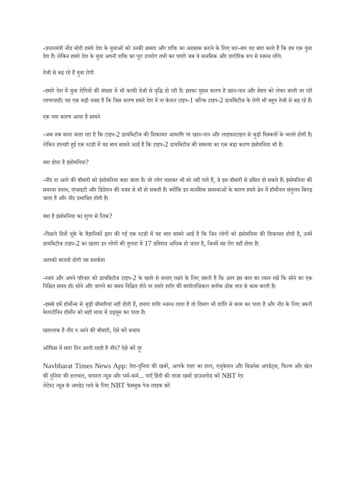-प्रधानमंत्री नरेंद्र मोदी हमारे देश के युवाओं को उनकी क्षमता और शक्ति का अहसास कराने के लिए बार-बार यह बात करते हैं कि हम एक युवा देश हैं। लेकिन हमारे देश के युवा अपनी शक्ति का पूरा उपयोग तभी कर पाएंगे जब वे मानसिक और शारीरिक रूप से स्वस्थ रहेंगे।

#### तेजी से बढ़ रहे हैं युवा रोगी

-हमारे देश में युवा रोगियों की संख्या में भी काफी तेजी से वृद्धि हो रही है। इसका मुख्य कारण है खान-पान और सेहत को लेकर बरती जा रही लापरवाही। यह एक बड़ी वजह है कि जिस कारण हमारे देश में ना केवल टाइप-1 बल्कि टाइप-2 डायबिटीज के रोगी भी बहत तेजी से बढ़ रहे हैं।

#### एक नया कारण आया है सामने

-अब तक माना जाता रहा है कि टाइप-2 डायबिटीज की शिकायत आमतौर पर खान-पान और लाइफस्टाइल से जुड़ी दिक्कतों के चलते होती है। लेकिन हालही हुई एक स्टडी में यह बात सामने आई है कि टाइप-2 डायबिटीज की समस्या का एक बड़ा कारण इंसोमनिया भी है।

#### क्या होता है इंसोमनिया?

-नींद ना आने की बीमारी को इंसोमनिया कहा जाता है। जो लोग चाहकर भी सो नहीं पाते हैं, वे इस बीमारी से ग्रसित हो सकते हैं। इंसोमनिया की समस्या तनाव, एंग्जाइटी और डिप्रेशन की वजह से भी हो सकती है। क्योंकि इन मानसिक समस्याओं के कारण हमारे ब्रेन में हॉमोनल संतुलन बिगड़ जाता है और नींद प्रभावित होती है।

#### क्या है इंसोमनिया का शुगर से लिंक?

-पिछले दिनों यूके के वैज्ञानिकों द्वारा की गई एक स्टडी में यह बात सामने आई है कि जिन लोगों को इंसोमनिया की शिकायत होती है, उनमें डायबिटीज टाइप-2 का खतरा उन लोगों की तुलना में 17 प्रतिशत अधिक हो जाता है, जिनमें यह रोग नहीं होता है।

#### आपको बरतनी होगी यह सतकता

-स्वयं और अपने परिवार को डायबिटीज टाइप-2 के खतरे से बचाए रखने के लिए जरूरी है कि आप इस बात का ध्यान रखें कि सोने का एक निश्चित समय हो। सोने और जागने का समय निश्चित होने पर हमारे शरीर की बायॉलजिकल क्लॉक ठीक तरह से काम करती है।

-इससे हमें हॉर्मोन्स से जुड़ी बीमारियां नहीं होती हैं, हमारा शरीर स्वस्थ रहता है तो दिमाग भी शांति से काम कर पाता है और नींद के लिए जरूरी मेलाटॉनिन हॉर्मोन को सही मात्रा में प्रड्यूस कर पाता है।

खतरनाक है नींद न आने की बीमारी, ऐसे करें बचाव

ऑफिस में सारा दिन आती रहती है नींद? ऐसे करें दूर

Navbharat Times News App: देश-दुनिया की खबरें, आपके शहर का हाल, एजुकेशन और बिज़नेस अपडेट्स, फिल्म और खेल की दुनिया की हलचल, वायरल न्यूज़ और धर्म-कर्म... पाएँ हिंदी की ताज़ा खबरें डाउनलोड करें  $\operatorname{NBT}$  ऐप लेटेस्ट न्यूज़ से अपडेट रहने के लिए NBT फेसबुक पेज लाइक करें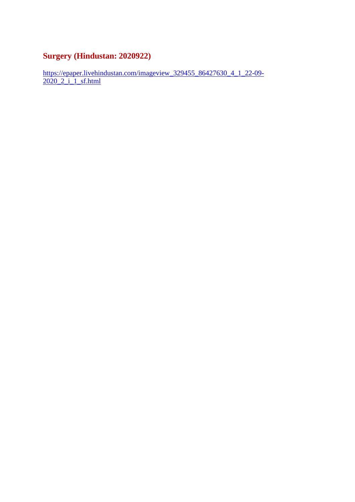# **Surgery (Hindustan: 2020922)**

https://epaper.livehindustan.com/imageview\_329455\_86427630\_4\_1\_22-09-2020\_2\_i\_1\_sf.html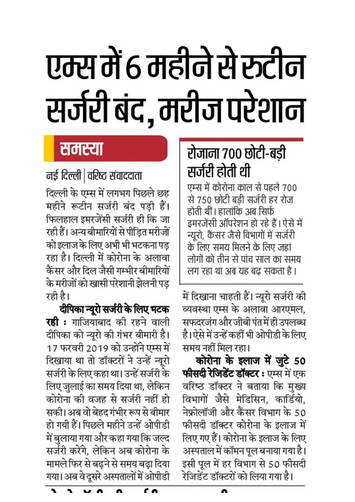# एम्स में 6 महीने से रूटीन सर्जरी बंद, मरीज परेशान

# समस्या

# नई दिल्ली | वरिष्ट संवाददाता

दिल्ली के एम्स में लगभग पिछले छह महीने रूटीन सर्जरी बंद पड़ी हैं। फिलहाल इमरजेंसी सर्जरी ही कि जा रही हैं। अन्य बीमारियों से पीड़ित मरीजों को इलाज के लिए अभी भी भटकना पड रहा है। दिल्ली में कोरोना के अलावा कैंसर और दिल जैसी गम्भीर बीमारियों के मरीजों को खासी परेशानी झेलनी पड़ रही है।

दीपिका न्यूरो सर्जरी के लिए भटक **रही :** गाजियाबाद की रहने वाली दीपिका को न्यूरो की गंभर बीमारी है। 17 फरवरी 2019 को उन्होंने एम्स में दिखाया था तो डॉक्टरों ने उन्हें न्यूरो सर्जरी के लिए कहा था। उन्हें सर्जरी के लिए जुलाई का समय दिया था, लेकिन कोरोना की वजह से सर्जरी नहीं हो सकी। अब वो बेहद गंभीर रूप से बीमार हो गयी हैं। पिछले महीने उन्हें ओपीडी में बुलाया गया और कहा गया कि जल्द सर्जरी करेंगे, लेकिन अब कोरोना के मामले फिर से बढ़ने से समय बढ़ा दिया गया। अब वे दूसरे अस्पतालों में ओपीडी

# रोजाना ७०० छोटी-बडी सर्जरी होती थी

एम्स में कोरोना काल से पहले 700 से 750 छोटी बडी सर्जरी हर रोज होती थीं। हालांकि अब सिर्फ इमरजेंसी ऑपरेशन हो रहे हैं। ऐसे में न्यूरो, कैंसर जैसे विभागों में सर्जरी के लिए समय मिलने के लिए जहां लोगों को तीन से पांच साल का समय लग रहा था अब यह बढ सकता है ।

में दिखाना चाहती हैं। न्यूरो सर्जरी की व्यवस्था एम्स के अलावा आरएमल, सफदरजंग और जीबी पंत में ही उपलब्ध है। ऐसे में उन्हें कहीं भी ओपीडी के लिए समय नहीं मिल रहा।

कोरोना के इलाज में जुटे 50 **फीसदी रेजिडेंट डॉक्टर:** एम्स में एक वरिष्ठ डॉक्टर ने बताया कि मुख्य विभागों जैसे मेडिसिन, कार्डियो, नेफ्रोलॉजी और कैंसर विभाग के 50 फीसदी डॉक्टर कोरोना के इलाज में लिए गए हैं। कोरोना के इलाज के लिए अस्पताल में कॉमन पूल बनाया गया है। इसी पूल में हर विभाग से 50 फीसदी .<br>रेजिडेंट डॉक्टरों को लिया गया है।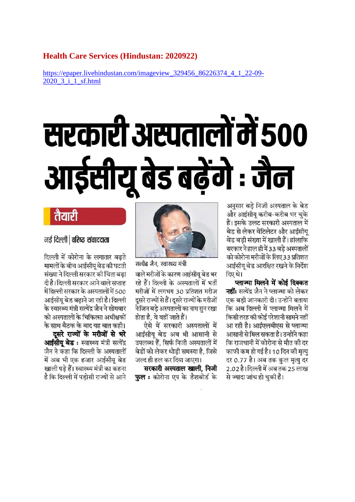#### **Health Care Services (Hindustan: 2020922)**

https://epaper.livehindustan.com/imageview\_329456\_86226374\_4\_1\_22-09- 2020\_3\_i\_1\_sf.html

# सरकारी अस्पतालों में 500 आईसीयू बेड बढ़ेंगे : जैन

अनुसार बडे निजी अस्पताल के बेड और आईसीय करीब-करीब भर चके हैं। इसके उलट सरकारी अस्पताल में बेड से लेकर वेंटिलेटर और आईसीय बेड बडी संख्या में खाली हैं। हांलाकि सरकार ने हाल ही में 33 बडे अस्पतालों को कोरोना मरीजों के लिए 33 प्रतिशत आईसीय बेड आरक्षित रखने के निर्देश दिए थे।

प्लाज्मा मिलने में कोई दिक्कत **नहीं:** सत्येंद्र जैन ने प्लाज्मा को लेकर एक बड़ी जानकारी दी। उन्होंने बताया .<br>कि अब दिल्ली में प्लाज्मा मिलने में किसी तरह की कोई परेशानी सामने नहीं आ रही है। आईएलबीएस से प्लाज्मा आसानी से मिल सकता है। उन्होंने कहा कि राजधानी में कोरोना से मौत की दर काफी कम हो गई है। 10 दिन की मृत्यु दर 0.77 है। अब तक कुल मृत्यु दर 2.02 है।दिल्ली में अब तक 25 लाख से ज्यादा जांच हो चकी हैं।



सत्येंद्र जैन, स्वास्थ्य मंत्री वाले मरीजों के कारण आईसीय बेड भर रहे हैं। दिल्ली के अस्पतालों में भर्ती मरीजों में लगभग 30 प्रतिशत मरीज दुसरे राज्यों से हैं। दुसरे राज्यों के मरीजों ने जिन बड़े अस्पतालों का नाम सुन रखा होता है. वे वहीं जाते हैं।

ऐसे में सरकारी अस्पतालों में आईसीय बेड अब भी आसानी से उपलब्ध हैं. सिर्फ निजी अस्पतालों में बेडों को लेकर थोडी समस्या है. जिसे जल्द ही हल कर दिया जाएगा।

सरकारी अस्पताल खाली, निजी **फुल :** कोरोना एप के डैशबोर्ड के

# तैयारी

## नई दिल्ली | वरिष्ट संवाददाता

दिल्ली में कोरोना के लगातार बढते मामलों के बीच आईसीय बेड की घटती संख्या ने दिल्ली सरकार की चिंता बढा दी है। दिल्ली सरकार आने वाले सप्ताह में दिल्ली सरकार के अस्पतालों में 500 आईसीय बेड बढाने जा रही है। दिल्ली के स्वास्थ्य मंत्री सत्येंद्र जैन ने सोमवार को अस्पतालों के चिकित्सा अधीक्षकों के साथ बैठक के बाद यह बात कही। दूसरे राज्यों के मरीजों से भरे

**आईसीय बेड:** स्वास्थ्य मंत्री सत्येंद्र जैन ने कहा कि दिल्ली के अस्पतालों में अब भी एक हजार आईसीय बेड खाली पड़े हैं। स्वास्थ्य मंत्री का कहना है कि दिल्ली में पडोसी राज्यों से आने